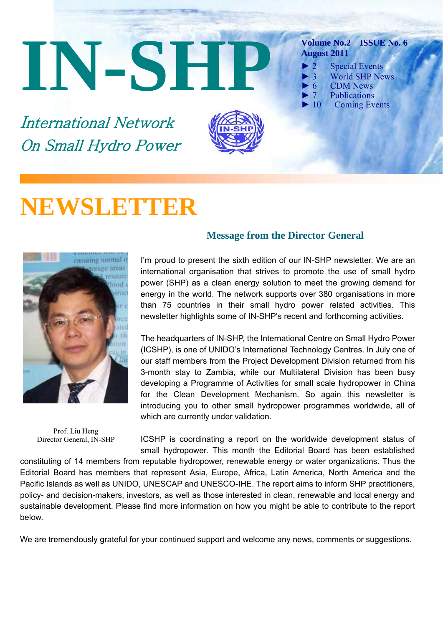# **IN-SHP**

International Network On Small Hydro Power



### **Volume No.2 ISSUE No. 6 August 2011**

- $\blacktriangleright$  2 Special Events
	- 3 World SHP News
- 6 CDM News
- ► 7 Publications
- ► 10 Coming Events

# **NEWSLETTER**



Prof. Liu Heng Director General, IN-SHP

### **Message from the Director General**

I'm proud to present the sixth edition of our IN-SHP newsletter. We are an international organisation that strives to promote the use of small hydro power (SHP) as a clean energy solution to meet the growing demand for energy in the world. The network supports over 380 organisations in more than 75 countries in their small hydro power related activities. This newsletter highlights some of IN-SHP's recent and forthcoming activities.

The headquarters of IN-SHP, the International Centre on Small Hydro Power (ICSHP), is one of UNIDO's International Technology Centres. In July one of our staff members from the Project Development Division returned from his 3-month stay to Zambia, while our Multilateral Division has been busy developing a Programme of Activities for small scale hydropower in China for the Clean Development Mechanism. So again this newsletter is introducing you to other small hydropower programmes worldwide, all of which are currently under validation.

ICSHP is coordinating a report on the worldwide development status of small hydropower. This month the Editorial Board has been established

constituting of 14 members from reputable hydropower, renewable energy or water organizations. Thus the Editorial Board has members that represent Asia, Europe, Africa, Latin America, North America and the Pacific Islands as well as UNIDO, UNESCAP and UNESCO-IHE. The report aims to inform SHP practitioners, policy- and decision-makers, investors, as well as those interested in clean, renewable and local energy and sustainable development. Please find more information on how you might be able to contribute to the report below.

We are tremendously grateful for your continued support and welcome any news, comments or suggestions.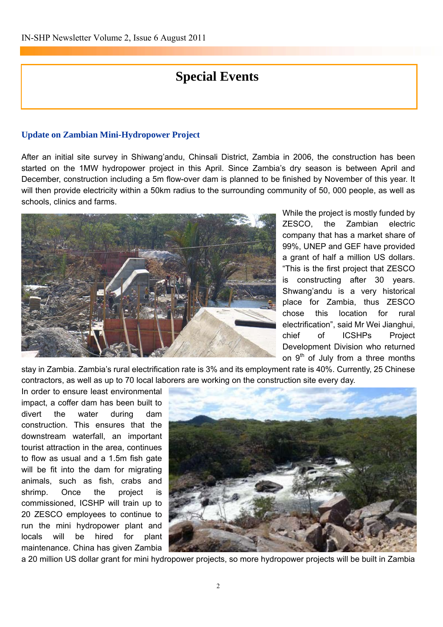# **Special Events**

### **Update on Zambian Mini-Hydropower Project**

After an initial site survey in Shiwang'andu, Chinsali District, Zambia in 2006, the construction has been started on the 1MW hydropower project in this April. Since Zambia's dry season is between April and December, construction including a 5m flow-over dam is planned to be finished by November of this year. It will then provide electricity within a 50km radius to the surrounding community of 50, 000 people, as well as schools, clinics and farms.



While the project is mostly funded by ZESCO, the Zambian electric company that has a market share of 99%, UNEP and GEF have provided a grant of half a million US dollars. "This is the first project that ZESCO is constructing after 30 years. Shwang'andu is a very historical place for Zambia, thus ZESCO chose this location for rural electrification", said Mr Wei Jianghui, chief of ICSHPs Project Development Division who returned on  $9<sup>th</sup>$  of July from a three months

stay in Zambia. Zambia's rural electrification rate is 3% and its employment rate is 40%. Currently, 25 Chinese contractors, as well as up to 70 local laborers are working on the construction site every day.

In order to ensure least environmental impact, a coffer dam has been built to divert the water during dam construction. This ensures that the downstream waterfall, an important tourist attraction in the area, continues to flow as usual and a 1.5m fish gate will be fit into the dam for migrating animals, such as fish, crabs and shrimp. Once the project is commissioned, ICSHP will train up to 20 ZESCO employees to continue to run the mini hydropower plant and locals will be hired for plant maintenance. China has given Zambia



a 20 million US dollar grant for mini hydropower projects, so more hydropower projects will be built in Zambia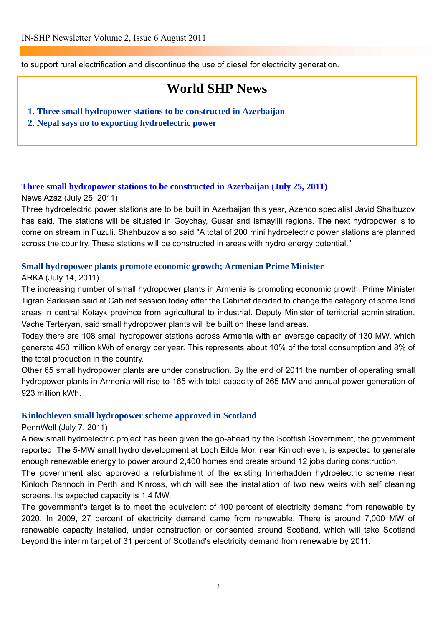to support rural electrification and discontinue the use of diesel for electricity generation.

# **World SHP News**

- **1. Three small hydropower stations to be constructed in Azerbaijan**
- **2. Nepal says no to exporting hydroelectric power**

### **[Three small hydropower stations to be constructed in Azerbaijan \(July 25, 2011\)](http://www.news.az/articles/economy/41197)**

### News Azaz (July 25, 2011)

Three hydroelectric power stations are to be built in Azerbaijan this year, Azenco specialist Javid Shalbuzov has said. The stations will be situated in Goychay, Gusar and Ismayilli regions. The next hydropower is to come on stream in Fuzuli. Shahbuzov also said "A total of 200 mini hydroelectric power stations are planned across the country. These stations will be constructed in areas with hydro energy potential."

### **[Small hydropower plants promote economic growth; Armenian Prime Minister](http://arka.am/eng/economy/2011/07/14/26889.html)**

### ARKA (July 14, 2011)

The increasing number of small hydropower plants in Armenia is promoting economic growth, Prime Minister Tigran Sarkisian said at Cabinet session today after the Cabinet decided to change the category of some land areas in central Kotayk province from agricultural to industrial. Deputy Minister of territorial administration, Vache Terteryan, said small hydropower plants will be built on these land areas.

Today there are 108 small hydropower stations across Armenia with an average capacity of 130 MW, which generate 450 million kWh of energy per year. This represents about 10% of the total consumption and 8% of the total production in the country.

Other 65 small hydropower plants are under construction. By the end of 2011 the number of operating small hydropower plants in Armenia will rise to 165 with total capacity of 265 MW and annual power generation of 923 million kWh.

### **[Kinlochleven small hydropower scheme approved in Scotland](http://www.hydroworld.com/index/display/article-display/0999370430/articles/hrhrw/hydroindustrynews/smallhydro/2011/07/kinlochleven-small.html)**

### PennWell (July 7, 2011)

A new small hydroelectric project has been given the go-ahead by the Scottish Government, the government reported. The 5-MW small hydro development at Loch Eilde Mor, near Kinlochleven, is expected to generate enough renewable energy to power around 2,400 homes and create around 12 jobs during construction.

The government also approved a refurbishment of the existing Innerhadden hydroelectric scheme near Kinloch Rannoch in Perth and Kinross, which will see the installation of two new weirs with self cleaning screens. Its expected capacity is 1.4 MW.

The government's target is to meet the equivalent of 100 percent of electricity demand from renewable by 2020. In 2009, 27 percent of electricity demand came from renewable. There is around 7,000 MW of renewable capacity installed, under construction or consented around Scotland, which will take Scotland beyond the interim target of 31 percent of Scotland's electricity demand from renewable by 2011.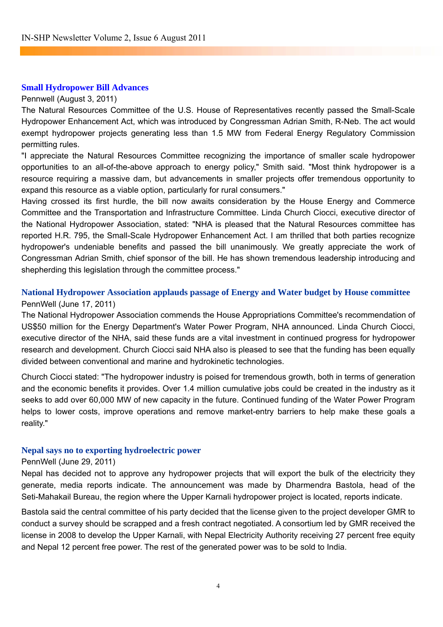### **[Small Hydropower Bill Advances](http://www.renewableenergyworld.com/rea/news/article/2011/08/small-hydropower-bill-advances)**

### Pennwell (August 3, 2011)

The Natural Resources Committee of the U.S. House of Representatives recently passed the Small-Scale Hydropower Enhancement Act, which was introduced by Congressman Adrian Smith, R-Neb. The act would exempt hydropower projects generating less than 1.5 MW from Federal Energy Regulatory Commission permitting rules.

"I appreciate the Natural Resources Committee recognizing the importance of smaller scale hydropower opportunities to an all-of-the-above approach to energy policy," Smith said. "Most think hydropower is a resource requiring a massive dam, but advancements in smaller projects offer tremendous opportunity to expand this resource as a viable option, particularly for rural consumers."

Having crossed its first hurdle, the bill now awaits consideration by the House Energy and Commerce Committee and the Transportation and Infrastructure Committee. Linda Church Ciocci, executive director of the National Hydropower Association, stated: "NHA is pleased that the Natural Resources committee has reported H.R. 795, the Small-Scale Hydropower Enhancement Act. I am thrilled that both parties recognize hydropower's undeniable benefits and passed the bill unanimously. We greatly appreciate the work of Congressman Adrian Smith, chief sponsor of the bill. He has shown tremendous leadership introducing and shepherding this legislation through the committee process."

### **National Hydropower Association applauds passage of Energy and Water budget by House committee**  PennWell (June 17, 2011)

The National Hydropower Association commends the House Appropriations Committee's recommendation of US\$50 million for the Energy Department's Water Power Program, NHA announced. Linda Church Ciocci, executive director of the NHA, said these funds are a vital investment in continued progress for hydropower research and development. Church Ciocci said NHA also is pleased to see that the funding has been equally divided between conventional and marine and hydrokinetic technologies.

Church Ciocci stated: "The hydropower industry is poised for tremendous growth, both in terms of generation and the economic benefits it provides. Over 1.4 million cumulative jobs could be created in the industry as it seeks to add over 60,000 MW of new capacity in the future. Continued funding of the Water Power Program helps to lower costs, improve operations and remove market-entry barriers to help make these goals a reality."

### **Nepal says no to exporting hydroelectric power**

### PennWell (June 29, 2011)

Nepal has decided not to approve any hydropower projects that will export the bulk of the electricity they generate, media reports indicate. The announcement was made by Dharmendra Bastola, head of the Seti-Mahakail Bureau, the region where the Upper Karnali hydropower project is located, reports indicate.

Bastola said the central committee of his party decided that the license given to the project developer GMR to conduct a survey should be scrapped and a fresh contract negotiated. A consortium led by GMR [received the](http://www.hydroworld.com/index/display/article-display/9197334634/articles/hrhrw/News/India_firm_to_build_Nepals_300-MW_Upper_Karnali.html)  [license in 2008 to develop the Upper Karnali,](http://www.hydroworld.com/index/display/article-display/9197334634/articles/hrhrw/News/India_firm_to_build_Nepals_300-MW_Upper_Karnali.html) with Nepal Electricity Authority receiving 27 percent free equity and Nepal 12 percent free power. The rest of the generated power was to be sold to India.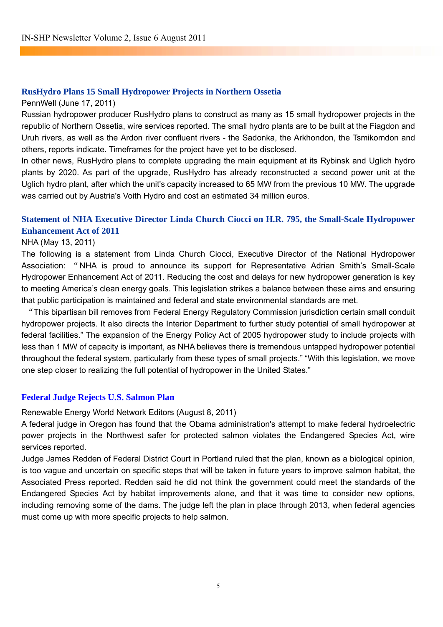### **[RusHydro Plans 15 Small Hydropower Projects in Northern Ossetia](http://www.renewableenergyworld.com/rea/news/article/2011/06/rushydro-plans-15-small-hydropower-projects-in-northern-ossetia)**

PennWell (June 17, 2011)

Russian hydropower producer RusHydro plans to construct as many as 15 small hydropower projects in the republic of Northern Ossetia, wire services reported. The small hydro plants are to be built at the Fiagdon and Uruh rivers, as well as the Ardon river confluent rivers - the Sadonka, the Arkhondon, the Tsmikomdon and others, reports indicate. Timeframes for the project have yet to be disclosed.

In other news, RusHydro plans to complete upgrading the main equipment at its Rybinsk and Uglich hydro plants by 2020. As part of the upgrade, RusHydro has already reconstructed a second power unit at the Uglich hydro plant, after which the unit's capacity increased to 65 MW from the previous 10 MW. The upgrade was carried out by Austria's Voith Hydro and cost an estimated 34 million euros.

### **Statement of NHA Executive Director Linda Church Ciocci on H.R. 795, the Small-Scale Hydropower Enhancement Act of 2011**

### NHA (May 13, 2011)

The following is a statement from Linda Church Ciocci, Executive Director of the National Hydropower Association: "NHA is proud to announce its support for Representative Adrian Smith's Small-Scale Hydropower Enhancement Act of 2011. Reducing the cost and delays for new hydropower generation is key to meeting America's clean energy goals. This legislation strikes a balance between these aims and ensuring that public participation is maintained and federal and state environmental standards are met.

"This bipartisan bill removes from Federal Energy Regulatory Commission jurisdiction certain small conduit hydropower projects. It also directs the Interior Department to further study potential of small hydropower at federal facilities." The expansion of the Energy Policy Act of 2005 hydropower study to include projects with less than 1 MW of capacity is important, as NHA believes there is tremendous untapped hydropower potential throughout the federal system, particularly from these types of small projects." "With this legislation, we move one step closer to realizing the full potential of hydropower in the United States."

### **[Federal Judge Rejects U.S. Salmon Plan](http://www.renewableenergyworld.com/rea/news/article/2011/08/federal-judge-rejects-u-s-salmon-plan?cmpid=WNL-Wednesday-August10-2011)**

Renewable Energy World Network Editors (August 8, 2011)

A federal judge in Oregon has found that the Obama administration's attempt to make federal hydroelectric power projects in the Northwest safer for protected salmon violates the Endangered Species Act, wire services reported.

Judge James Redden of Federal District Court in Portland ruled that the plan, known as a biological opinion, is too vague and uncertain on specific steps that will be taken in future years to improve salmon habitat, the Associated Press reported. Redden said he did not think the government could meet the standards of the Endangered Species Act by habitat improvements alone, and that it was time to consider new options, including removing some of the dams. The judge left the plan in place through 2013, when federal agencies must come up with more specific projects to help salmon.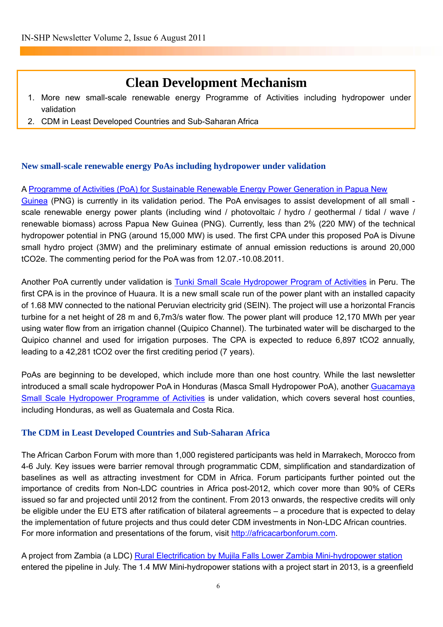# **Clean Development Mechanism**

- 1. More new small-scale renewable energy Programme of Activities including hydropower under validation
- 2. CDM in Least Developed Countries and Sub-Saharan Africa

### **New small-scale renewable energy PoAs including hydropower under validation**

### A [Programme of Activities \(PoA\) for Sustainable Renewable Energy Power Generation in Papua New](http://cdm.unfccc.int/ProgrammeOfActivities/Validation/DB/KGHGC1KOOSFUZWO7K5EZBAFSG28M2A/view.html)

[Guinea](http://cdm.unfccc.int/ProgrammeOfActivities/Validation/DB/KGHGC1KOOSFUZWO7K5EZBAFSG28M2A/view.html) (PNG) is currently in its validation period. The PoA envisages to assist development of all small scale renewable energy power plants (including wind / photovoltaic / hydro / geothermal / tidal / wave / renewable biomass) across Papua New Guinea (PNG). Currently, less than 2% (220 MW) of the technical hydropower potential in PNG (around 15,000 MW) is used. The first CPA under this proposed PoA is Divune small hydro project (3MW) and the preliminary estimate of annual emission reductions is around 20,000 tCO2e. The commenting period for the PoA was from 12.07.-10.08.2011.

Another PoA currently under validation is [Tunki Small Scale Hydropower Program of Activities](http://cdm.unfccc.int/ProgrammeOfActivities/Validation/DB/D1W68MA7FK8E5CH1BG05BNM8R8V36Y/view.html) in Peru. The first CPA is in the province of Huaura. It is a new small scale run of the power plant with an installed capacity of 1.68 MW connected to the national Peruvian electricity grid (SEIN). The project will use a horizontal Francis turbine for a net height of 28 m and 6,7m3/s water flow. The power plant will produce 12,170 MWh per year using water flow from an irrigation channel (Quipico Channel). The turbinated water will be discharged to the Quipico channel and used for irrigation purposes. The CPA is expected to reduce 6,897 tCO2 annually, leading to a 42,281 tCO2 over the first crediting period (7 years).

PoAs are beginning to be developed, which include more than one host country. While the last newsletter introduced a small scale hydropower PoA in Honduras (Masca Small Hydropower PoA), another [Guacamaya](https://cdm.unfccc.int/ProgrammeOfActivities/Validation/DB/L4GKXH1FTNAMON2GR2TOXPIGK08XT4/view.html)  [Small Scale Hydropower Programme of Activities](https://cdm.unfccc.int/ProgrammeOfActivities/Validation/DB/L4GKXH1FTNAMON2GR2TOXPIGK08XT4/view.html) is under validation, which covers several host counties, including Honduras, as well as Guatemala and Costa Rica.

### **The CDM in Least Developed Countries and Sub-Saharan Africa**

The African Carbon Forum with more than 1,000 registered participants was held in Marrakech, Morocco from 4-6 July. Key issues were barrier removal through programmatic CDM, simplification and standardization of baselines as well as attracting investment for CDM in Africa. Forum participants further pointed out the importance of credits from Non-LDC countries in Africa post-2012, which cover more than 90% of CERs issued so far and projected until 2012 from the continent. From 2013 onwards, the respective credits will only be eligible under the EU ETS after ratification of bilateral agreements – a procedure that is expected to delay the implementation of future projects and thus could deter CDM investments in Non-LDC African countries. For more information and presentations of the forum, visit [http://africacarbonforum.com](http://africacarbonforum.com/).

A project from Zambia (a LDC) [Rural Electrification by Mujila Falls Lower Zambia Mini-hydropower station](http://cdm.unfccc.int/Projects/Validation/DB/8WFAZ8GL9LXQN292WAWDLHIIEQB3HW/view.html) entered the pipeline in July. The 1.4 MW Mini-hydropower stations with a project start in 2013, is a greenfield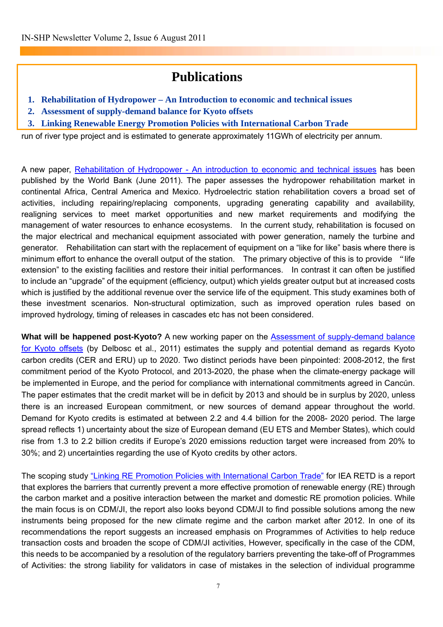# **Publications**

- **1. Rehabilitation of Hydropower An Introduction to economic and technical issues**
- **2. Assessment of supply-demand balance for Kyoto offsets**
- **3. Linking Renewable Energy Promotion Policies with International Carbon Trade**

run of river type project and is estimated to generate approximately 11GWh of electricity per annum.

A new paper, [Rehabilitation of Hydropower - An introduction to economic and technical issues](http://water.worldbank.org/water/sites/worldbank.org.water/files/WPRehabHydro_0.pdf) has been published by the World Bank (June 2011). The paper assesses the hydropower rehabilitation market in continental Africa, Central America and Mexico. Hydroelectric station rehabilitation covers a broad set of activities, including repairing/replacing components, upgrading generating capability and availability, realigning services to meet market opportunities and new market requirements and modifying the management of water resources to enhance ecosystems. In the current study, rehabilitation is focused on the major electrical and mechanical equipment associated with power generation, namely the turbine and generator. Rehabilitation can start with the replacement of equipment on a "like for like" basis where there is minimum effort to enhance the overall output of the station. The primary objective of this is to provide "life extension" to the existing facilities and restore their initial performances. In contrast it can often be justified to include an "upgrade" of the equipment (efficiency, output) which yields greater output but at increased costs which is justified by the additional revenue over the service life of the equipment. This study examines both of these investment scenarios. Non-structural optimization, such as improved operation rules based on improved hydrology, timing of releases in cascades etc has not been considered.

What will be happened post-Kyoto? A new working paper on the **Assessment of supply-demand balance** [for Kyoto offsets](http://www.cdcclimat.com/Assessment-of-supply-demand.html?lang=en) (by Delbosc et al., 2011) estimates the supply and potential demand as regards Kyoto carbon credits (CER and ERU) up to 2020. Two distinct periods have been pinpointed: 2008-2012, the first commitment period of the Kyoto Protocol, and 2013-2020, the phase when the climate-energy package will be implemented in Europe, and the period for compliance with international commitments agreed in Cancún. The paper estimates that the credit market will be in deficit by 2013 and should be in surplus by 2020, unless there is an increased European commitment, or new sources of demand appear throughout the world. Demand for Kyoto credits is estimated at between 2.2 and 4.4 billion for the 2008- 2020 period. The large spread reflects 1) uncertainty about the size of European demand (EU ETS and Member States), which could rise from 1.3 to 2.2 billion credits if Europe's 2020 emissions reduction target were increased from 20% to 30%; and 2) uncertainties regarding the use of Kyoto credits by other actors.

The scoping study ["Linking RE Promotion Policies with International Carbon Trade"](http://www.iea-retd.org/files/LINK%20RE%20policy%20and%20carbon%20trade%20(2011-06).pdf) for IEA RETD is a report that explores the barriers that currently prevent a more effective promotion of renewable energy (RE) through the carbon market and a positive interaction between the market and domestic RE promotion policies. While the main focus is on CDM/JI, the report also looks beyond CDM/JI to find possible solutions among the new instruments being proposed for the new climate regime and the carbon market after 2012. In one of its recommendations the report suggests an increased emphasis on Programmes of Activities to help reduce transaction costs and broaden the scope of CDM/JI activities, However, specifically in the case of the CDM, this needs to be accompanied by a resolution of the regulatory barriers preventing the take-off of Programmes of Activities: the strong liability for validators in case of mistakes in the selection of individual programme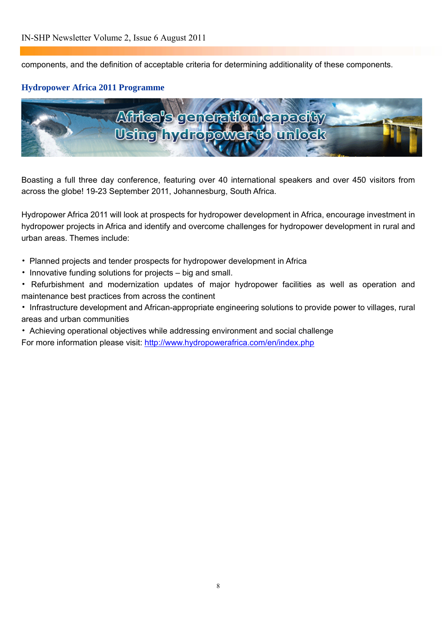components, and the definition of acceptable criteria for determining additionality of these components.

### **Hydropower Africa 2011 Programme**



Boasting a full three day conference, featuring over 40 international speakers and over 450 visitors from across the globe! 19-23 September 2011, Johannesburg, South Africa.

Hydropower Africa 2011 will look at prospects for hydropower development in Africa, encourage investment in hydropower projects in Africa and identify and overcome challenges for hydropower development in rural and urban areas. Themes include:

- Planned projects and tender prospects for hydropower development in Africa
- Innovative funding solutions for projects big and small.
- Refurbishment and modernization updates of major hydropower facilities as well as operation and maintenance best practices from across the continent
- Infrastructure development and African-appropriate engineering solutions to provide power to villages, rural areas and urban communities
- Achieving operational objectives while addressing environment and social challenge

For more information please visit:<http://www.hydropowerafrica.com/en/index.php>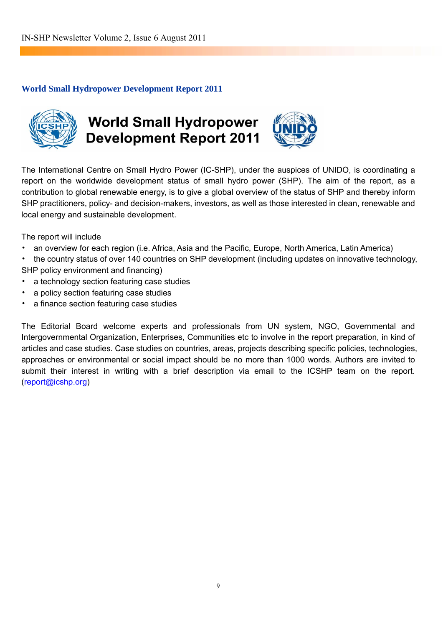### **World Small Hydropower Development Report 2011**



# **World Small Hydropower Development Report 2011**



The International Centre on Small Hydro Power (IC-SHP), under the auspices of UNIDO, is coordinating a report on the worldwide development status of small hydro power (SHP). The aim of the report, as a contribution to global renewable energy, is to give a global overview of the status of SHP and thereby inform SHP practitioners, policy- and decision-makers, investors, as well as those interested in clean, renewable and local energy and sustainable development.

The report will include

- an overview for each region (i.e. Africa, Asia and the Pacific, Europe, North America, Latin America)
- the country status of over 140 countries on SHP development (including updates on innovative technology, SHP policy environment and financing)
- a technology section featuring case studies
- a policy section featuring case studies
- a finance section featuring case studies

The Editorial Board welcome experts and professionals from UN system, NGO, Governmental and Intergovernmental Organization, Enterprises, Communities etc to involve in the report preparation, in kind of articles and case studies. Case studies on countries, areas, projects describing specific policies, technologies, approaches or environmental or social impact should be no more than 1000 words. Authors are invited to submit their interest in writing with a brief description via email to the ICSHP team on the report. [\(report@icshp.org](mailto:report@icshp.org))